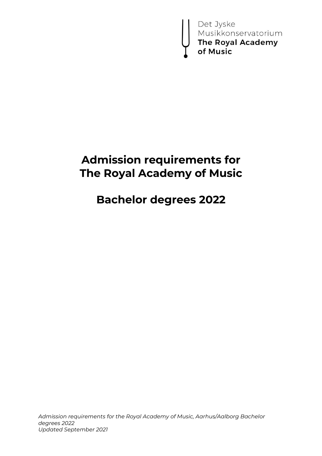Det Jyske<br>Musikkonservatorium<br>**The Royal Academy**<br>**of Music** 

# **Admission requirements for The Royal Academy of Music**

# **Bachelor degrees 2022**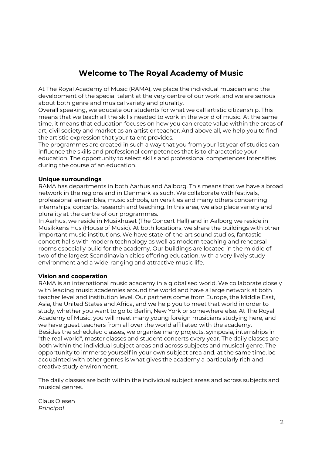## **Welcome to The Royal Academy of Music**

At The Royal Academy of Music (RAMA), we place the individual musician and the development of the special talent at the very centre of our work, and we are serious about both genre and musical variety and plurality.

Overall speaking, we educate our students for what we call artistic citizenship. This means that we teach all the skills needed to work in the world of music. At the same time, it means that education focuses on how you can create value within the areas of art, civil society and market as an artist or teacher. And above all, we help you to find the artistic expression that your talent provides.

The programmes are created in such a way that you from your 1st year of studies can influence the skills and professional competences that is to characterise your education. The opportunity to select skills and professional competences intensifies during the course of an education.

#### **Unique surroundings**

RAMA has departments in both Aarhus and Aalborg. This means that we have a broad network in the regions and in Denmark as such. We collaborate with festivals, professional ensembles, music schools, universities and many others concerning internships, concerts, research and teaching. In this area, we also place variety and plurality at the centre of our programmes.

In Aarhus, we reside in Musikhuset (The Concert Hall) and in Aalborg we reside in Musikkens Hus (House of Music). At both locations, we share the buildings with other important music institutions. We have state-of-the-art sound studios, fantastic concert halls with modern technology as well as modern teaching and rehearsal rooms especially build for the academy. Our buildings are located in the middle of two of the largest Scandinavian cities offering education, with a very lively study environment and a wide-ranging and attractive music life.

#### **Vision and cooperation**

RAMA is an international music academy in a globalised world. We collaborate closely with leading music academies around the world and have a large network at both teacher level and institution level. Our partners come from Europe, the Middle East, Asia, the United States and Africa, and we help you to meet that world in order to study, whether you want to go to Berlin, New York or somewhere else. At The Royal Academy of Music, you will meet many young foreign musicians studying here, and we have guest teachers from all over the world affiliated with the academy. Besides the scheduled classes, we organise many projects, symposia, internships in "the real world", master classes and student concerts every year. The daily classes are both within the individual subject areas and across subjects and musical genre. The opportunity to immerse yourself in your own subject area and, at the same time, be acquainted with other genres is what gives the academy a particularly rich and creative study environment.

The daily classes are both within the individual subject areas and across subjects and musical genres.

Claus Olesen *Principal*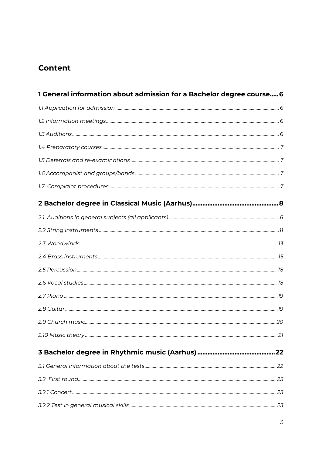## **Content**

| 1 General information about admission for a Bachelor degree course 6 |  |
|----------------------------------------------------------------------|--|
|                                                                      |  |
|                                                                      |  |
|                                                                      |  |
|                                                                      |  |
|                                                                      |  |
|                                                                      |  |
|                                                                      |  |
|                                                                      |  |
|                                                                      |  |
|                                                                      |  |
|                                                                      |  |
|                                                                      |  |
|                                                                      |  |
|                                                                      |  |
|                                                                      |  |
|                                                                      |  |
|                                                                      |  |
|                                                                      |  |
|                                                                      |  |
|                                                                      |  |
|                                                                      |  |
|                                                                      |  |
|                                                                      |  |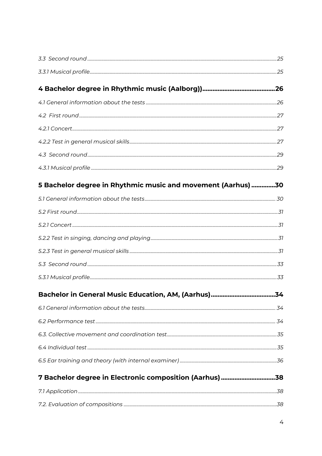| 5 Bachelor degree in Rhythmic music and movement (Aarhus) 30 |    |
|--------------------------------------------------------------|----|
|                                                              |    |
|                                                              |    |
|                                                              |    |
|                                                              |    |
|                                                              |    |
|                                                              |    |
|                                                              |    |
| Bachelor in General Music Education, AM, (Aarhus)            | 34 |
|                                                              |    |
|                                                              |    |
|                                                              |    |
|                                                              |    |
|                                                              |    |
| 7 Bachelor degree in Electronic composition (Aarhus) 38      |    |
|                                                              |    |
|                                                              |    |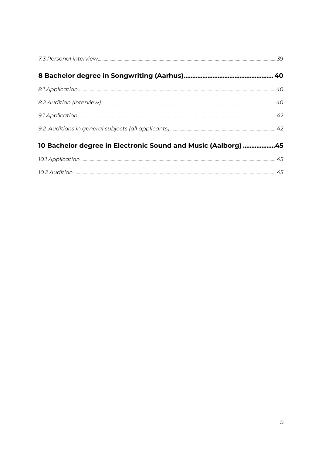| 10 Bachelor degree in Electronic Sound and Music (Aalborg) 45 |  |
|---------------------------------------------------------------|--|
|                                                               |  |
|                                                               |  |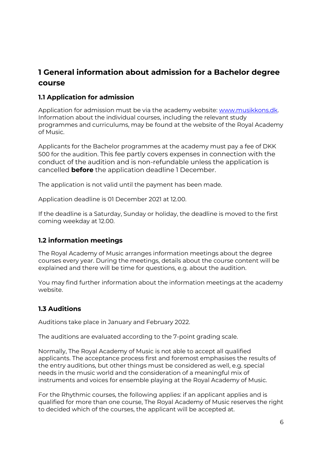## <span id="page-5-0"></span>**1 General information about admission for a Bachelor degree course**

## <span id="page-5-1"></span>**1.1 Application for admission**

Application for admission must be via the academy website: [www.musikkons.dk.](http://www.musikkons.dk/) Information about the individual courses, including the relevant study programmes and curriculums, may be found at the website of the Royal Academy of Music.

Applicants for the Bachelor programmes at the academy must pay a fee of DKK 500 for the audition. This fee partly covers expenses in connection with the conduct of the audition and is non-refundable unless the application is cancelled **before** the application deadline 1 December.

The application is not valid until the payment has been made.

Application deadline is 01 December 2021 at 12.00.

If the deadline is a Saturday, Sunday or holiday, the deadline is moved to the first coming weekday at 12.00.

## <span id="page-5-2"></span>**1.2 information meetings**

The Royal Academy of Music arranges information meetings about the degree courses every year. During the meetings, details about the course content will be explained and there will be time for questions, e.g. about the audition.

You may find further information about the information meetings at the academy website.

## <span id="page-5-3"></span>**1.3 Auditions**

Auditions take place in January and February 2022.

The auditions are evaluated according to the 7-point grading scale.

Normally, The Royal Academy of Music is not able to accept all qualified applicants. The acceptance process first and foremost emphasises the results of the entry auditions, but other things must be considered as well, e.g. special needs in the music world and the consideration of a meaningful mix of instruments and voices for ensemble playing at the Royal Academy of Music.

For the Rhythmic courses, the following applies: if an applicant applies and is qualified for more than one course, The Royal Academy of Music reserves the right to decided which of the courses, the applicant will be accepted at.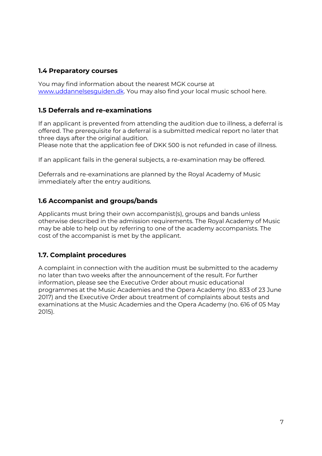## <span id="page-6-0"></span>**1.4 Preparatory courses**

You may find information about the nearest MGK course at [www.uddannelsesguiden.dk.](http://www.uddannelsesguiden.dk/) You may also find your local music school here.

## <span id="page-6-1"></span>**1.5 Deferrals and re-examinations**

If an applicant is prevented from attending the audition due to illness, a deferral is offered. The prerequisite for a deferral is a submitted medical report no later that three days after the original audition.

Please note that the application fee of DKK 500 is not refunded in case of illness.

If an applicant fails in the general subjects, a re-examination may be offered.

Deferrals and re-examinations are planned by the Royal Academy of Music immediately after the entry auditions.

## <span id="page-6-2"></span>**1.6 Accompanist and groups/bands**

Applicants must bring their own accompanist(s), groups and bands unless otherwise described in the admission requirements. The Royal Academy of Music may be able to help out by referring to one of the academy accompanists. The cost of the accompanist is met by the applicant.

## <span id="page-6-3"></span>**1.7. Complaint procedures**

A complaint in connection with the audition must be submitted to the academy no later than two weeks after the announcement of the result. For further information, please see the Executive Order about music educational programmes at the Music Academies and the Opera Academy (no. 833 of 23 June 2017) and the Executive Order about treatment of complaints about tests and examinations at the Music Academies and the Opera Academy (no. 616 of 05 May 2015).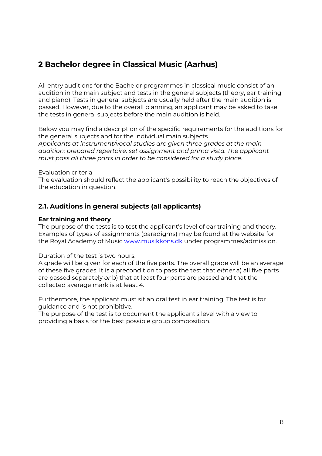## <span id="page-7-0"></span>**2 Bachelor degree in Classical Music (Aarhus)**

All entry auditions for the Bachelor programmes in classical music consist of an audition in the main subject and tests in the general subjects (theory, ear training and piano). Tests in general subjects are usually held after the main audition is passed. However, due to the overall planning, an applicant may be asked to take the tests in general subjects before the main audition is held.

Below you may find a description of the specific requirements for the auditions for the general subjects and for the individual main subjects. *Applicants at instrument/vocal studies are given three grades at the main audition: prepared repertoire, set assignment and prima vista. The applicant must pass all three parts in order to be considered for a study place.*

#### Evaluation criteria

The evaluation should reflect the applicant's possibility to reach the objectives of the education in question.

## <span id="page-7-1"></span>**2.1. Auditions in general subjects (all applicants)**

#### **Ear training and theory**

The purpose of the tests is to test the applicant's level of ear training and theory. Examples of types of assignments (paradigms) may be found at the website for the Royal Academy of Music [www.musikkons.dk](http://www.musikkons.dk/) under programmes/admission.

Duration of the test is two hours.

A grade will be given for each of the five parts. The overall grade will be an average of these five grades. It is a precondition to pass the test that *either* a) all five parts are passed separately *or* b) that at least four parts are passed and that the collected average mark is at least 4.

Furthermore, the applicant must sit an oral test in ear training. The test is for guidance and is not prohibitive.

The purpose of the test is to document the applicant's level with a view to providing a basis for the best possible group composition.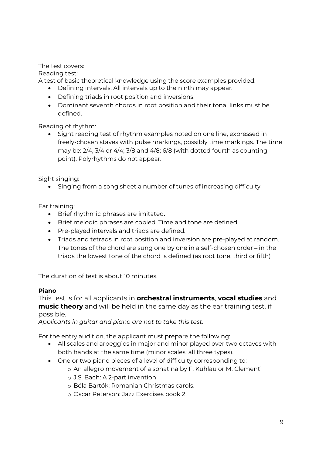The test covers:

Reading test:

A test of basic theoretical knowledge using the score examples provided:

- Defining intervals. All intervals up to the ninth may appear.
- Defining triads in root position and inversions.
- Dominant seventh chords in root position and their tonal links must be defined.

Reading of rhythm:

• Sight reading test of rhythm examples noted on one line, expressed in freely-chosen staves with pulse markings, possibly time markings. The time may be:  $2/4$ ,  $3/4$  or  $4/4$ ;  $3/8$  and  $4/8$ ;  $6/8$  (with dotted fourth as counting point). Polyrhythms do not appear.

Sight singing:

• Singing from a song sheet a number of tunes of increasing difficulty.

Ear training:

- Brief rhythmic phrases are imitated.
- Brief melodic phrases are copied. Time and tone are defined.
- Pre-played intervals and triads are defined.
- Triads and tetrads in root position and inversion are pre-played at random. The tones of the chord are sung one by one in a self-chosen order – in the triads the lowest tone of the chord is defined (as root tone, third or fifth)

The duration of test is about 10 minutes.

## **Piano**

This test is for all applicants in **orchestral instruments**, **vocal studies** and **music theory** and will be held in the same day as the ear training test, if possible.

*Applicants in guitar and piano are not to take this test.*

For the entry audition, the applicant must prepare the following:

- All scales and arpeggios in major and minor played over two octaves with both hands at the same time (minor scales: all three types).
- One or two piano pieces of a level of difficulty corresponding to:
	- o An allegro movement of a sonatina by F. Kuhlau or M. Clementi
	- o J.S. Bach: A 2-part invention
	- o Béla Bartók: Romanian Christmas carols.
	- o Oscar Peterson: Jazz Exercises book 2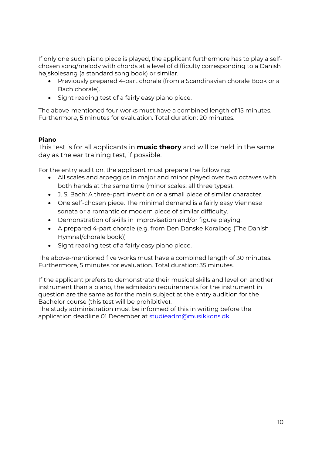If only one such piano piece is played, the applicant furthermore has to play a selfchosen song/melody with chords at a level of difficulty corresponding to a Danish højskolesang (a standard song book) or similar.

- Previously prepared 4-part chorale (from a Scandinavian chorale Book or a Bach chorale).
- Sight reading test of a fairly easy piano piece.

The above-mentioned four works must have a combined length of 15 minutes. Furthermore, 5 minutes for evaluation. Total duration: 20 minutes.

#### **Piano**

This test is for all applicants in **music theory** and will be held in the same day as the ear training test, if possible.

For the entry audition, the applicant must prepare the following:

- All scales and arpeggios in major and minor played over two octaves with both hands at the same time (minor scales: all three types).
- J. S. Bach: A three-part invention or a small piece of similar character.
- One self-chosen piece. The minimal demand is a fairly easy Viennese sonata or a romantic or modern piece of similar difficulty.
- Demonstration of skills in improvisation and/or figure playing.
- A prepared 4-part chorale (e.g. from Den Danske Koralbog (The Danish Hymnal/chorale book))
- Sight reading test of a fairly easy piano piece.

The above-mentioned five works must have a combined length of 30 minutes. Furthermore, 5 minutes for evaluation. Total duration: 35 minutes.

If the applicant prefers to demonstrate their musical skills and level on another instrument than a piano, the admission requirements for the instrument in question are the same as for the main subject at the entry audition for the Bachelor course (this test will be prohibitive).

The study administration must be informed of this in writing before the application deadline 01 December at [studieadm@musikkons.dk.](mailto:studieadm@musikkons.dk)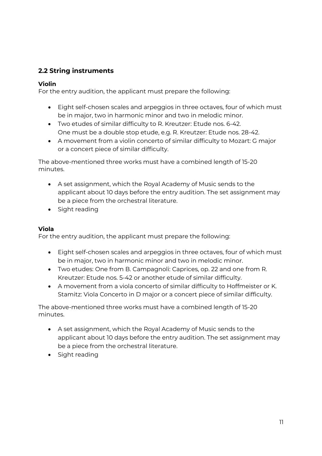## <span id="page-10-0"></span>**2.2 String instruments**

#### **Violin**

For the entry audition, the applicant must prepare the following:

- Eight self-chosen scales and arpeggios in three octaves, four of which must be in major, two in harmonic minor and two in melodic minor.
- Two etudes of similar difficulty to R. Kreutzer: Etude nos. 6-42. One must be a double stop etude, e.g. R. Kreutzer: Etude nos. 28-42.
- A movement from a violin concerto of similar difficulty to Mozart: G major or a concert piece of similar difficulty.

The above-mentioned three works must have a combined length of 15-20 minutes.

- A set assignment, which the Royal Academy of Music sends to the applicant about 10 days before the entry audition. The set assignment may be a piece from the orchestral literature.
- Sight reading

## **Viola**

For the entry audition, the applicant must prepare the following:

- Eight self-chosen scales and arpeggios in three octaves, four of which must be in major, two in harmonic minor and two in melodic minor.
- Two etudes: One from B. Campagnoli: Caprices, op. 22 and one from R. Kreutzer: Etude nos. 5-42 or another etude of similar difficulty.
- A movement from a viola concerto of similar difficulty to Hoffmeister or K. Stamitz: Viola Concerto in D major or a concert piece of similar difficulty.

- A set assignment, which the Royal Academy of Music sends to the applicant about 10 days before the entry audition. The set assignment may be a piece from the orchestral literature.
- Sight reading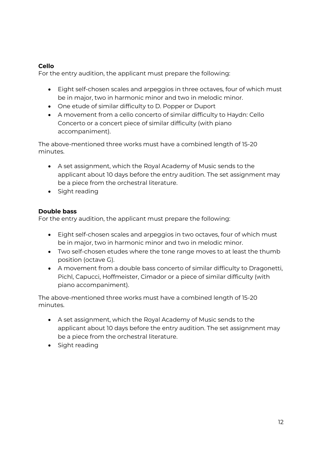## **Cello**

For the entry audition, the applicant must prepare the following:

- Eight self-chosen scales and arpeggios in three octaves, four of which must be in major, two in harmonic minor and two in melodic minor.
- One etude of similar difficulty to D. Popper or Duport
- A movement from a cello concerto of similar difficulty to Haydn: Cello Concerto or a concert piece of similar difficulty (with piano accompaniment).

The above-mentioned three works must have a combined length of 15-20 minutes.

- A set assignment, which the Royal Academy of Music sends to the applicant about 10 days before the entry audition. The set assignment may be a piece from the orchestral literature.
- Sight reading

## **Double bass**

For the entry audition, the applicant must prepare the following:

- Eight self-chosen scales and arpeggios in two octaves, four of which must be in major, two in harmonic minor and two in melodic minor.
- Two self-chosen etudes where the tone range moves to at least the thumb position (octave G).
- A movement from a double bass concerto of similar difficulty to Dragonetti, Pichl, Capucci, Hoffmeister, Cimador or a piece of similar difficulty (with piano accompaniment).

- A set assignment, which the Royal Academy of Music sends to the applicant about 10 days before the entry audition. The set assignment may be a piece from the orchestral literature.
- Sight reading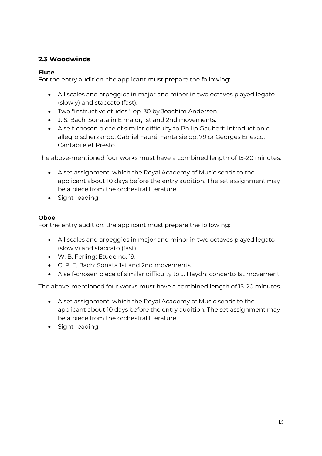## <span id="page-12-0"></span>**2.3 Woodwinds**

## **Flute**

For the entry audition, the applicant must prepare the following:

- All scales and arpeggios in major and minor in two octaves played legato (slowly) and staccato (fast).
- Two "instructive etudes" op. 30 by Joachim Andersen.
- J. S. Bach: Sonata in E major, 1st and 2nd movements.
- A self-chosen piece of similar difficulty to Philip Gaubert: Introduction e allegro scherzando, Gabriel Fauré: Fantaisie op. 79 or Georges Enesco: Cantabile et Presto.

The above-mentioned four works must have a combined length of 15-20 minutes.

- A set assignment, which the Royal Academy of Music sends to the applicant about 10 days before the entry audition. The set assignment may be a piece from the orchestral literature.
- Sight reading

## **Oboe**

For the entry audition, the applicant must prepare the following:

- All scales and arpeggios in major and minor in two octaves played legato (slowly) and staccato (fast).
- W. B. Ferling: Etude no. 19.
- C. P. E. Bach: Sonata 1st and 2nd movements.
- A self-chosen piece of similar difficulty to J. Haydn: concerto 1st movement.

- A set assignment, which the Royal Academy of Music sends to the applicant about 10 days before the entry audition. The set assignment may be a piece from the orchestral literature.
- Sight reading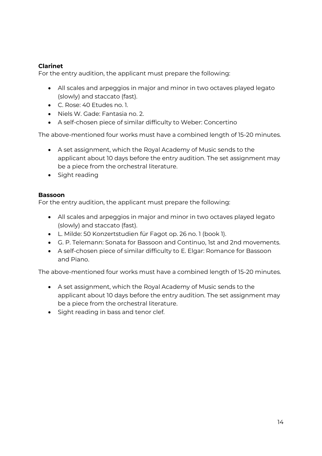## **Clarinet**

For the entry audition, the applicant must prepare the following:

- All scales and arpeggios in major and minor in two octaves played legato (slowly) and staccato (fast).
- C. Rose: 40 Etudes no. 1.
- Niels W. Gade: Fantasia no. 2.
- A self-chosen piece of similar difficulty to Weber: Concertino

The above-mentioned four works must have a combined length of 15-20 minutes.

- A set assignment, which the Royal Academy of Music sends to the applicant about 10 days before the entry audition. The set assignment may be a piece from the orchestral literature.
- Sight reading

## **Bassoon**

For the entry audition, the applicant must prepare the following:

- All scales and arpeggios in major and minor in two octaves played legato (slowly) and staccato (fast).
- L. Milde: 50 Konzertstudien für Fagot op. 26 no. 1 (book 1).
- G. P. Telemann: Sonata for Bassoon and Continuo, 1st and 2nd movements.
- A self-chosen piece of similar difficulty to E. Elgar: Romance for Bassoon and Piano.

- A set assignment, which the Royal Academy of Music sends to the applicant about 10 days before the entry audition. The set assignment may be a piece from the orchestral literature.
- Sight reading in bass and tenor clef.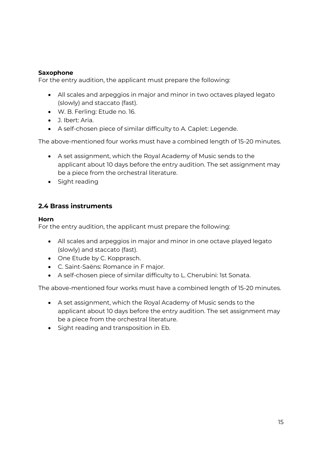## **Saxophone**

For the entry audition, the applicant must prepare the following:

- All scales and arpeggios in major and minor in two octaves played legato (slowly) and staccato (fast).
- W. B. Ferling: Etude no. 16.
- J. Ibert: Aria.
- A self-chosen piece of similar difficulty to A. Caplet: Legende.

The above-mentioned four works must have a combined length of 15-20 minutes.

- A set assignment, which the Royal Academy of Music sends to the applicant about 10 days before the entry audition. The set assignment may be a piece from the orchestral literature.
- Sight reading

## <span id="page-14-0"></span>**2.4 Brass instruments**

#### **Horn**

For the entry audition, the applicant must prepare the following:

- All scales and arpeggios in major and minor in one octave played legato (slowly) and staccato (fast).
- One Etude by C. Kopprasch.
- C. Saint-Saëns: Romance in F major.
- A self-chosen piece of similar difficulty to L. Cherubini: 1st Sonata.

- A set assignment, which the Royal Academy of Music sends to the applicant about 10 days before the entry audition. The set assignment may be a piece from the orchestral literature.
- Sight reading and transposition in Eb.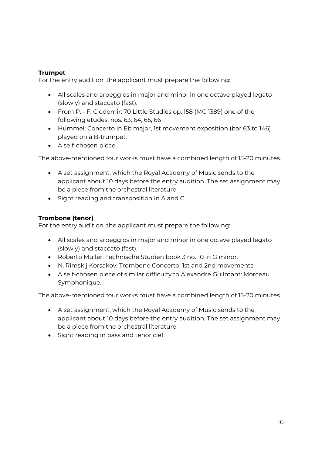## **Trumpet**

For the entry audition, the applicant must prepare the following:

- All scales and arpeggios in major and minor in one octave played legato (slowly) and staccato (fast).
- From P. F. Clodomir: 70 Little Studies op. 158 (MC 1389) one of the following etudes: nos. 63, 64, 65, 66
- Hummel: Concerto in Eb major, 1st movement exposition (bar 63 to 146) played on a B-trumpet.
- A self-chosen piece

The above-mentioned four works must have a combined length of 15-20 minutes.

- A set assignment, which the Royal Academy of Music sends to the applicant about 10 days before the entry audition. The set assignment may be a piece from the orchestral literature.
- Sight reading and transposition in A and C.

## **Trombone (tenor)**

For the entry audition, the applicant must prepare the following:

- All scales and arpeggios in major and minor in one octave played legato (slowly) and staccato (fast).
- Roberto Müller: Technische Studien book 3 no. 10 in G minor.
- N. Rimskij Korsakov: Trombone Concerto, 1st and 2nd movements.
- A self-chosen piece of similar difficulty to Alexandre Guilmant: Morceau Symphonique.

- A set assignment, which the Royal Academy of Music sends to the applicant about 10 days before the entry audition. The set assignment may be a piece from the orchestral literature.
- Sight reading in bass and tenor clef.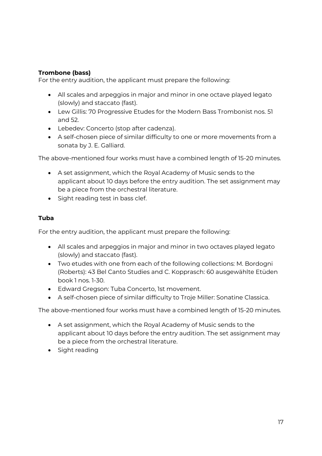## **Trombone (bass)**

For the entry audition, the applicant must prepare the following:

- All scales and arpeggios in major and minor in one octave played legato (slowly) and staccato (fast).
- Lew Gillis: 70 Progressive Etudes for the Modern Bass Trombonist nos. 51 and 52.
- Lebedev: Concerto (stop after cadenza).
- A self-chosen piece of similar difficulty to one or more movements from a sonata by J. E. Galliard.

The above-mentioned four works must have a combined length of 15-20 minutes.

- A set assignment, which the Royal Academy of Music sends to the applicant about 10 days before the entry audition. The set assignment may be a piece from the orchestral literature.
- Sight reading test in bass clef.

## **Tuba**

For the entry audition, the applicant must prepare the following:

- All scales and arpeggios in major and minor in two octaves played legato (slowly) and staccato (fast).
- Two etudes with one from each of the following collections: M. Bordogni (Roberts): 43 Bel Canto Studies and C. Kopprasch: 60 ausgewählte Etüden book 1 nos. 1-30.
- Edward Gregson: Tuba Concerto, 1st movement.
- A self-chosen piece of similar difficulty to Troje Miller: Sonatine Classica.

- A set assignment, which the Royal Academy of Music sends to the applicant about 10 days before the entry audition. The set assignment may be a piece from the orchestral literature.
- Sight reading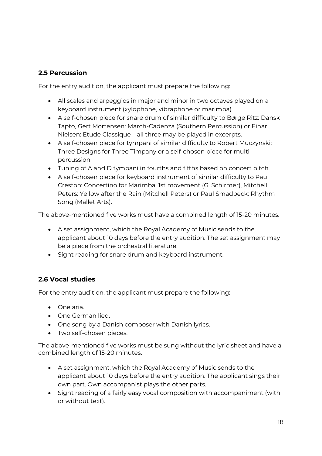## <span id="page-17-0"></span>**2.5 Percussion**

For the entry audition, the applicant must prepare the following:

- All scales and arpeggios in major and minor in two octaves played on a keyboard instrument (xylophone, vibraphone or marimba).
- A self-chosen piece for snare drum of similar difficulty to Børge Ritz: Dansk Tapto, Gert Mortensen: March-Cadenza (Southern Percussion) or Einar Nielsen: Etude Classique – all three may be played in excerpts.
- A self-chosen piece for tympani of similar difficulty to Robert Muczynski: Three Designs for Three Timpany or a self-chosen piece for multipercussion.
- Tuning of A and D tympani in fourths and fifths based on concert pitch.
- A self-chosen piece for keyboard instrument of similar difficulty to Paul Creston: Concertino for Marimba, 1st movement (G. Schirmer), Mitchell Peters: Yellow after the Rain (Mitchell Peters) or Paul Smadbeck: Rhythm Song (Mallet Arts).

The above-mentioned five works must have a combined length of 15-20 minutes.

- A set assignment, which the Royal Academy of Music sends to the applicant about 10 days before the entry audition. The set assignment may be a piece from the orchestral literature.
- Sight reading for snare drum and keyboard instrument.

## <span id="page-17-1"></span>**2.6 Vocal studies**

For the entry audition, the applicant must prepare the following:

- One aria.
- One German lied.
- One song by a Danish composer with Danish lyrics.
- Two self-chosen pieces.

The above-mentioned five works must be sung without the lyric sheet and have a combined length of 15-20 minutes.

- A set assignment, which the Royal Academy of Music sends to the applicant about 10 days before the entry audition. The applicant sings their own part. Own accompanist plays the other parts.
- Sight reading of a fairly easy vocal composition with accompaniment (with or without text).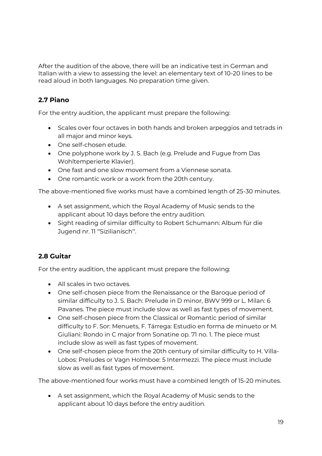After the audition of the above, there will be an indicative test in German and Italian with a view to assessing the level: an elementary text of 10-20 lines to be read aloud in both languages. No preparation time given.

## <span id="page-18-0"></span>**2.7 Piano**

For the entry audition, the applicant must prepare the following:

- Scales over four octaves in both hands and broken arpeggios and tetrads in all major and minor keys.
- One self-chosen etude.
- One polyphone work by J. S. Bach (e.g. Prelude and Fugue from Das Wohltemperierte Klavier).
- One fast and one slow movement from a Viennese sonata.
- One romantic work or a work from the 20th century.

The above-mentioned five works must have a combined length of 25-30 minutes.

- A set assignment, which the Royal Academy of Music sends to the applicant about 10 days before the entry audition.
- Sight reading of similar difficulty to Robert Schumann: Album für die Jugend nr. 11 "Sizilianisch".

## <span id="page-18-1"></span>**2.8 Guitar**

For the entry audition, the applicant must prepare the following:

- All scales in two octaves.
- One self-chosen piece from the Renaissance or the Baroque period of similar difficulty to J. S. Bach: Prelude in D minor, BWV 999 or L. Milan: 6 Pavanes. The piece must include slow as well as fast types of movement.
- One self-chosen piece from the Classical or Romantic period of similar difficulty to F. Sor: Menuets, F. Tárrega: Estudio en forma de minueto or M. Giuliani: Rondo in C major from Sonatine op. 71 no. 1. The piece must include slow as well as fast types of movement.
- One self-chosen piece from the 20th century of similar difficulty to H. Villa-Lobos: Preludes or Vagn Holmboe: 5 Intermezzi. The piece must include slow as well as fast types of movement.

The above-mentioned four works must have a combined length of 15-20 minutes.

 A set assignment, which the Royal Academy of Music sends to the applicant about 10 days before the entry audition.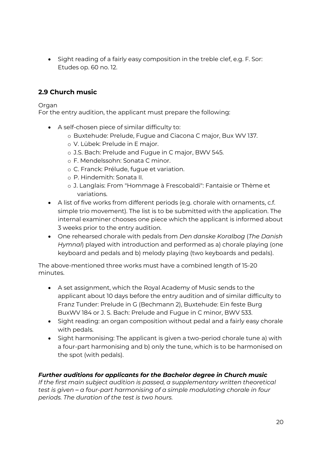• Sight reading of a fairly easy composition in the treble clef, e.g. F. Sor: Etudes op. 60 no. 12.

## <span id="page-19-0"></span>**2.9 Church music**

#### Organ

For the entry audition, the applicant must prepare the following:

- A self-chosen piece of similar difficulty to:
	- o Buxtehude: Prelude, Fugue and Ciacona C major, Bux WV 137.
	- o V. Lübek: Prelude in E major.
	- o J.S. Bach: Prelude and Fugue in C major, BWV 545.
	- o F. Mendelssohn: Sonata C minor.
	- o C. Franck: Prélude, fugue et variation.
	- o P. Hindemith: Sonata II.
	- o J. Langlais: From "Hommage à Frescobaldi": Fantaisie or Thème et variations.
- A list of five works from different periods (e.g. chorale with ornaments, c.f. simple trio movement). The list is to be submitted with the application. The internal examiner chooses one piece which the applicant is informed about 3 weeks prior to the entry audition.
- One rehearsed chorale with pedals from *Den danske Koralbog* (*The Danish Hymnal*) played with introduction and performed as a) chorale playing (one keyboard and pedals and b) melody playing (two keyboards and pedals).

The above-mentioned three works must have a combined length of 15-20 minutes.

- A set assignment, which the Royal Academy of Music sends to the applicant about 10 days before the entry audition and of similar difficulty to Franz Tunder: Prelude in G (Bechmann 2), Buxtehude: Ein feste Burg BuxWV 184 or J. S. Bach: Prelude and Fugue in C minor, BWV 533.
- Sight reading: an organ composition without pedal and a fairly easy chorale with pedals.
- Sight harmonising: The applicant is given a two-period chorale tune a) with a four-part harmonising and b) only the tune, which is to be harmonised on the spot (with pedals).

## *Further auditions for applicants for the Bachelor degree in Church music*

*If the first main subject audition is passed, a supplementary written theoretical test is given* – *a four-part harmonising of a simple modulating chorale in four periods. The duration of the test is two hours.*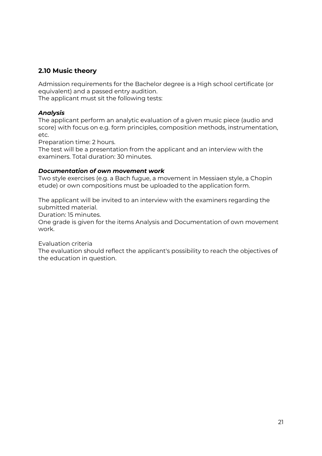## <span id="page-20-0"></span>**2.10 Music theory**

Admission requirements for the Bachelor degree is a High school certificate (or equivalent) and a passed entry audition.

The applicant must sit the following tests:

#### *Analysis*

The applicant perform an analytic evaluation of a given music piece (audio and score) with focus on e.g. form principles, composition methods, instrumentation, etc.

Preparation time: 2 hours.

The test will be a presentation from the applicant and an interview with the examiners. Total duration: 30 minutes.

#### *Documentation of own movement work*

Two style exercises (e.g. a Bach fugue, a movement in Messiaen style, a Chopin etude) or own compositions must be uploaded to the application form.

The applicant will be invited to an interview with the examiners regarding the submitted material.

Duration: 15 minutes.

One grade is given for the items Analysis and Documentation of own movement work.

Evaluation criteria

The evaluation should reflect the applicant's possibility to reach the objectives of the education in question.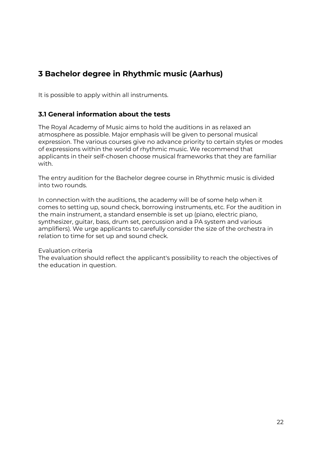## <span id="page-21-0"></span>**3 Bachelor degree in Rhythmic music (Aarhus)**

It is possible to apply within all instruments.

## <span id="page-21-1"></span>**3.1 General information about the tests**

The Royal Academy of Music aims to hold the auditions in as relaxed an atmosphere as possible. Major emphasis will be given to personal musical expression. The various courses give no advance priority to certain styles or modes of expressions within the world of rhythmic music. We recommend that applicants in their self-chosen choose musical frameworks that they are familiar with.

The entry audition for the Bachelor degree course in Rhythmic music is divided into two rounds.

In connection with the auditions, the academy will be of some help when it comes to setting up, sound check, borrowing instruments, etc. For the audition in the main instrument, a standard ensemble is set up (piano, electric piano, synthesizer, guitar, bass, drum set, percussion and a PA system and various amplifiers). We urge applicants to carefully consider the size of the orchestra in relation to time for set up and sound check.

#### Evaluation criteria

The evaluation should reflect the applicant's possibility to reach the objectives of the education in question.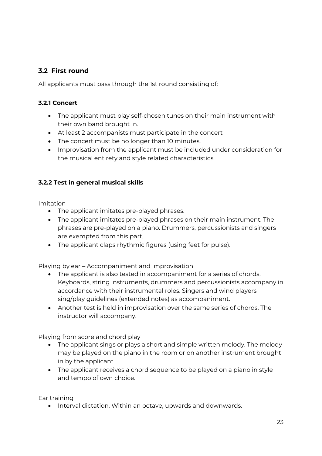## <span id="page-22-0"></span>**3.2 First round**

All applicants must pass through the 1st round consisting of:

#### <span id="page-22-1"></span>**3.2.1 Concert**

- The applicant must play self-chosen tunes on their main instrument with their own band brought in.
- At least 2 accompanists must participate in the concert
- The concert must be no longer than 10 minutes.
- Improvisation from the applicant must be included under consideration for the musical entirety and style related characteristics.

## <span id="page-22-2"></span>**3.2.2 Test in general musical skills**

Imitation

- The applicant imitates pre-played phrases.
- The applicant imitates pre-played phrases on their main instrument. The phrases are pre-played on a piano. Drummers, percussionists and singers are exempted from this part.
- The applicant claps rhythmic figures (using feet for pulse).

Playing by ear – Accompaniment and Improvisation

- The applicant is also tested in accompaniment for a series of chords. Keyboards, string instruments, drummers and percussionists accompany in accordance with their instrumental roles. Singers and wind players sing/play guidelines (extended notes) as accompaniment.
- Another test is held in improvisation over the same series of chords. The instructor will accompany.

Playing from score and chord play

- The applicant sings or plays a short and simple written melody. The melody may be played on the piano in the room or on another instrument brought in by the applicant.
- The applicant receives a chord sequence to be played on a piano in style and tempo of own choice.

Ear training

• Interval dictation. Within an octave, upwards and downwards.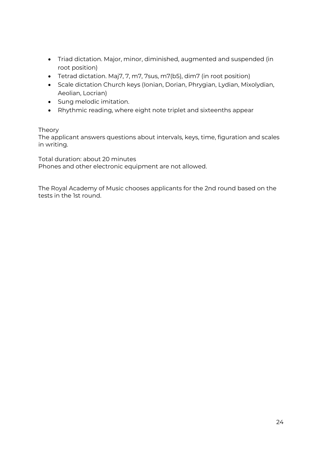- Triad dictation. Major, minor, diminished, augmented and suspended (in root position)
- Tetrad dictation. Maj7, 7, m7, 7sus, m7(b5), dim7 (in root position)
- Scale dictation Church keys (Ionian, Dorian, Phrygian, Lydian, Mixolydian, Aeolian, Locrian)
- Sung melodic imitation.
- Rhythmic reading, where eight note triplet and sixteenths appear

#### Theory

The applicant answers questions about intervals, keys, time, figuration and scales in writing.

Total duration: about 20 minutes Phones and other electronic equipment are not allowed.

The Royal Academy of Music chooses applicants for the 2nd round based on the tests in the 1st round.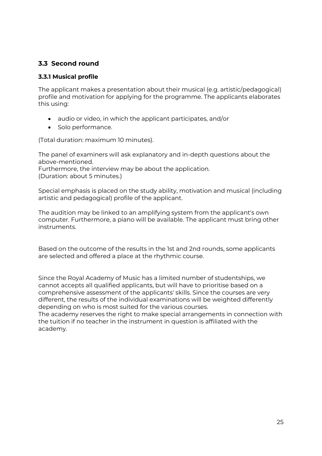## <span id="page-24-0"></span>**3.3 Second round**

#### <span id="page-24-1"></span>**3.3.1 Musical profile**

The applicant makes a presentation about their musical (e.g. artistic/pedagogical) profile and motivation for applying for the programme. The applicants elaborates this using:

- audio or video, in which the applicant participates, and/or
- Solo performance.

(Total duration: maximum 10 minutes).

The panel of examiners will ask explanatory and in-depth questions about the above-mentioned.

Furthermore, the interview may be about the application. (Duration: about 5 minutes.)

Special emphasis is placed on the study ability, motivation and musical (including artistic and pedagogical) profile of the applicant.

The audition may be linked to an amplifying system from the applicant's own computer. Furthermore, a piano will be available. The applicant must bring other instruments.

Based on the outcome of the results in the 1st and 2nd rounds, some applicants are selected and offered a place at the rhythmic course.

Since the Royal Academy of Music has a limited number of studentships, we cannot accepts all qualified applicants, but will have to prioritise based on a comprehensive assessment of the applicants' skills. Since the courses are very different, the results of the individual examinations will be weighted differently depending on who is most suited for the various courses.

The academy reserves the right to make special arrangements in connection with the tuition if no teacher in the instrument in question is affiliated with the academy.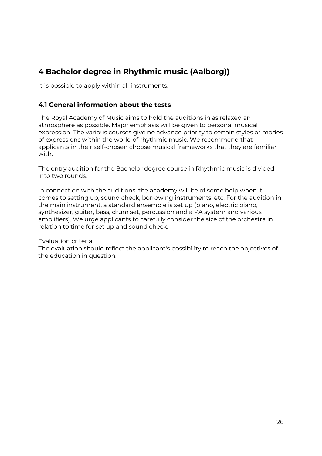## <span id="page-25-0"></span>**4 Bachelor degree in Rhythmic music (Aalborg))**

It is possible to apply within all instruments.

## <span id="page-25-1"></span>**4.1 General information about the tests**

The Royal Academy of Music aims to hold the auditions in as relaxed an atmosphere as possible. Major emphasis will be given to personal musical expression. The various courses give no advance priority to certain styles or modes of expressions within the world of rhythmic music. We recommend that applicants in their self-chosen choose musical frameworks that they are familiar with.

The entry audition for the Bachelor degree course in Rhythmic music is divided into two rounds.

In connection with the auditions, the academy will be of some help when it comes to setting up, sound check, borrowing instruments, etc. For the audition in the main instrument, a standard ensemble is set up (piano, electric piano, synthesizer, guitar, bass, drum set, percussion and a PA system and various amplifiers). We urge applicants to carefully consider the size of the orchestra in relation to time for set up and sound check.

#### Evaluation criteria

The evaluation should reflect the applicant's possibility to reach the objectives of the education in question.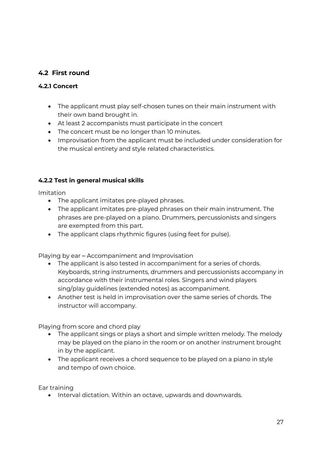## <span id="page-26-0"></span>**4.2 First round**

## <span id="page-26-1"></span>**4.2.1 Concert**

- The applicant must play self-chosen tunes on their main instrument with their own band brought in.
- At least 2 accompanists must participate in the concert
- The concert must be no longer than 10 minutes.
- Improvisation from the applicant must be included under consideration for the musical entirety and style related characteristics.

## <span id="page-26-2"></span>**4.2.2 Test in general musical skills**

Imitation

- The applicant imitates pre-played phrases.
- The applicant imitates pre-played phrases on their main instrument. The phrases are pre-played on a piano. Drummers, percussionists and singers are exempted from this part.
- The applicant claps rhythmic figures (using feet for pulse).

Playing by ear – Accompaniment and Improvisation

- The applicant is also tested in accompaniment for a series of chords. Keyboards, string instruments, drummers and percussionists accompany in accordance with their instrumental roles. Singers and wind players sing/play guidelines (extended notes) as accompaniment.
- Another test is held in improvisation over the same series of chords. The instructor will accompany.

Playing from score and chord play

- The applicant sings or plays a short and simple written melody. The melody may be played on the piano in the room or on another instrument brought in by the applicant.
- The applicant receives a chord sequence to be played on a piano in style and tempo of own choice.

Ear training

• Interval dictation. Within an octave, upwards and downwards.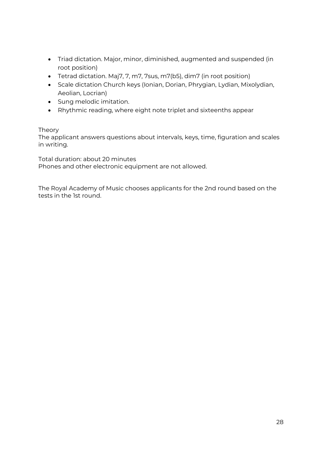- Triad dictation. Major, minor, diminished, augmented and suspended (in root position)
- Tetrad dictation. Maj7, 7, m7, 7sus, m7(b5), dim7 (in root position)
- Scale dictation Church keys (Ionian, Dorian, Phrygian, Lydian, Mixolydian, Aeolian, Locrian)
- Sung melodic imitation.
- Rhythmic reading, where eight note triplet and sixteenths appear

#### Theory

The applicant answers questions about intervals, keys, time, figuration and scales in writing.

Total duration: about 20 minutes Phones and other electronic equipment are not allowed.

The Royal Academy of Music chooses applicants for the 2nd round based on the tests in the 1st round.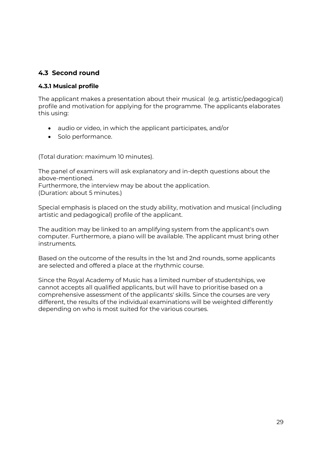## <span id="page-28-0"></span>**4.3 Second round**

#### <span id="page-28-1"></span>**4.3.1 Musical profile**

The applicant makes a presentation about their musical (e.g. artistic/pedagogical) profile and motivation for applying for the programme. The applicants elaborates this using:

- audio or video, in which the applicant participates, and/or
- Solo performance.

(Total duration: maximum 10 minutes).

The panel of examiners will ask explanatory and in-depth questions about the above-mentioned.

Furthermore, the interview may be about the application.

(Duration: about 5 minutes.)

Special emphasis is placed on the study ability, motivation and musical (including artistic and pedagogical) profile of the applicant.

The audition may be linked to an amplifying system from the applicant's own computer. Furthermore, a piano will be available. The applicant must bring other instruments.

Based on the outcome of the results in the 1st and 2nd rounds, some applicants are selected and offered a place at the rhythmic course.

Since the Royal Academy of Music has a limited number of studentships, we cannot accepts all qualified applicants, but will have to prioritise based on a comprehensive assessment of the applicants' skills. Since the courses are very different, the results of the individual examinations will be weighted differently depending on who is most suited for the various courses.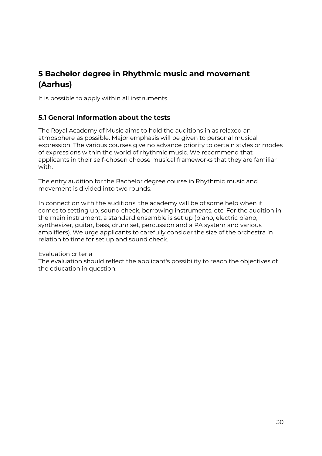## <span id="page-29-0"></span>**5 Bachelor degree in Rhythmic music and movement (Aarhus)**

It is possible to apply within all instruments.

## <span id="page-29-1"></span>**5.1 General information about the tests**

The Royal Academy of Music aims to hold the auditions in as relaxed an atmosphere as possible. Major emphasis will be given to personal musical expression. The various courses give no advance priority to certain styles or modes of expressions within the world of rhythmic music. We recommend that applicants in their self-chosen choose musical frameworks that they are familiar with.

The entry audition for the Bachelor degree course in Rhythmic music and movement is divided into two rounds.

In connection with the auditions, the academy will be of some help when it comes to setting up, sound check, borrowing instruments, etc. For the audition in the main instrument, a standard ensemble is set up (piano, electric piano, synthesizer, guitar, bass, drum set, percussion and a PA system and various amplifiers). We urge applicants to carefully consider the size of the orchestra in relation to time for set up and sound check.

#### Evaluation criteria

The evaluation should reflect the applicant's possibility to reach the objectives of the education in question.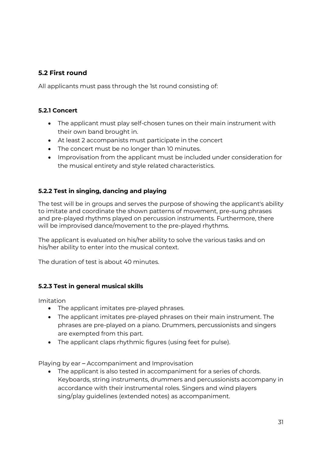## <span id="page-30-0"></span>**5.2 First round**

All applicants must pass through the 1st round consisting of:

## <span id="page-30-1"></span>**5.2.1 Concert**

- The applicant must play self-chosen tunes on their main instrument with their own band brought in.
- At least 2 accompanists must participate in the concert
- The concert must be no longer than 10 minutes.
- Improvisation from the applicant must be included under consideration for the musical entirety and style related characteristics.

## <span id="page-30-2"></span>**5.2.2 Test in singing, dancing and playing**

The test will be in groups and serves the purpose of showing the applicant's ability to imitate and coordinate the shown patterns of movement, pre-sung phrases and pre-played rhythms played on percussion instruments. Furthermore, there will be improvised dance/movement to the pre-played rhythms.

The applicant is evaluated on his/her ability to solve the various tasks and on his/her ability to enter into the musical context.

The duration of test is about 40 minutes.

## <span id="page-30-3"></span>**5.2.3 Test in general musical skills**

Imitation

- The applicant imitates pre-played phrases.
- The applicant imitates pre-played phrases on their main instrument. The phrases are pre-played on a piano. Drummers, percussionists and singers are exempted from this part.
- The applicant claps rhythmic figures (using feet for pulse).

Playing by ear – Accompaniment and Improvisation

 The applicant is also tested in accompaniment for a series of chords. Keyboards, string instruments, drummers and percussionists accompany in accordance with their instrumental roles. Singers and wind players sing/play guidelines (extended notes) as accompaniment.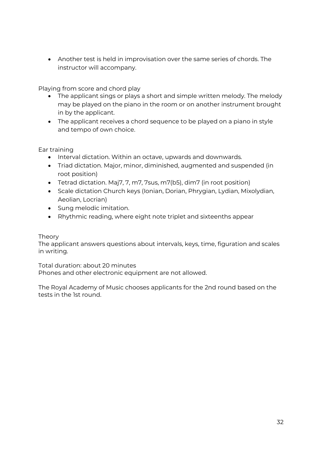Another test is held in improvisation over the same series of chords. The instructor will accompany.

Playing from score and chord play

- The applicant sings or plays a short and simple written melody. The melody may be played on the piano in the room or on another instrument brought in by the applicant.
- The applicant receives a chord sequence to be played on a piano in style and tempo of own choice.

Ear training

- Interval dictation. Within an octave, upwards and downwards.
- Triad dictation. Major, minor, diminished, augmented and suspended (in root position)
- Tetrad dictation. Maj7, 7, m7, 7sus, m7(b5), dim7 (in root position)
- Scale dictation Church keys (Ionian, Dorian, Phrygian, Lydian, Mixolydian, Aeolian, Locrian)
- Sung melodic imitation.
- Rhythmic reading, where eight note triplet and sixteenths appear

#### Theory

The applicant answers questions about intervals, keys, time, figuration and scales in writing.

Total duration: about 20 minutes Phones and other electronic equipment are not allowed.

The Royal Academy of Music chooses applicants for the 2nd round based on the tests in the 1st round.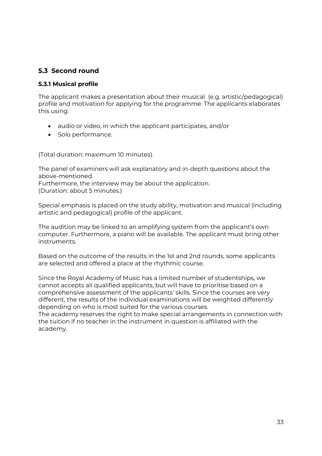## <span id="page-32-0"></span>**5.3 Second round**

#### <span id="page-32-1"></span>**5.3.1 Musical profile**

The applicant makes a presentation about their musical (e.g. artistic/pedagogical) profile and motivation for applying for the programme. The applicants elaborates this using:

- audio or video, in which the applicant participates, and/or
- Solo performance.

(Total duration: maximum 10 minutes).

The panel of examiners will ask explanatory and in-depth questions about the above-mentioned.

Furthermore, the interview may be about the application. (Duration: about 5 minutes.)

Special emphasis is placed on the study ability, motivation and musical (including artistic and pedagogical) profile of the applicant.

The audition may be linked to an amplifying system from the applicant's own computer. Furthermore, a piano will be available. The applicant must bring other instruments.

Based on the outcome of the results in the 1st and 2nd rounds, some applicants are selected and offered a place at the rhythmic course.

Since the Royal Academy of Music has a limited number of studentships, we cannot accepts all qualified applicants, but will have to prioritise based on a comprehensive assessment of the applicants' skills. Since the courses are very different, the results of the individual examinations will be weighted differently depending on who is most suited for the various courses.

The academy reserves the right to make special arrangements in connection with the tuition if no teacher in the instrument in question is affiliated with the academy.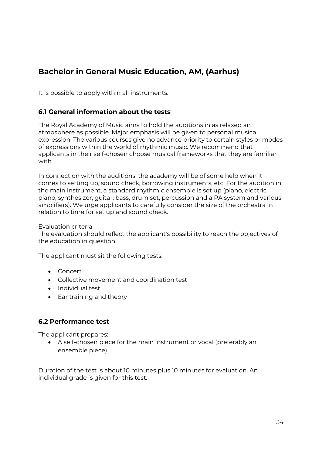## <span id="page-33-0"></span>**Bachelor in General Music Education, AM, (Aarhus)**

It is possible to apply within all instruments.

## <span id="page-33-1"></span>**6.1 General information about the tests**

The Royal Academy of Music aims to hold the auditions in as relaxed an atmosphere as possible. Major emphasis will be given to personal musical expression. The various courses give no advance priority to certain styles or modes of expressions within the world of rhythmic music. We recommend that applicants in their self-chosen choose musical frameworks that they are familiar with.

In connection with the auditions, the academy will be of some help when it comes to setting up, sound check, borrowing instruments, etc. For the audition in the main instrument, a standard rhythmic ensemble is set up (piano, electric piano, synthesizer, guitar, bass, drum set, percussion and a PA system and various amplifiers). We urge applicants to carefully consider the size of the orchestra in relation to time for set up and sound check.

#### Evaluation criteria

The evaluation should reflect the applicant's possibility to reach the objectives of the education in question.

The applicant must sit the following tests:

- Concert
- Collective movement and coordination test
- Individual test
- Ear training and theory

## <span id="page-33-2"></span>**6.2 Performance test**

The applicant prepares:

 A self-chosen piece for the main instrument or vocal (preferably an ensemble piece).

Duration of the test is about 10 minutes plus 10 minutes for evaluation. An individual grade is given for this test.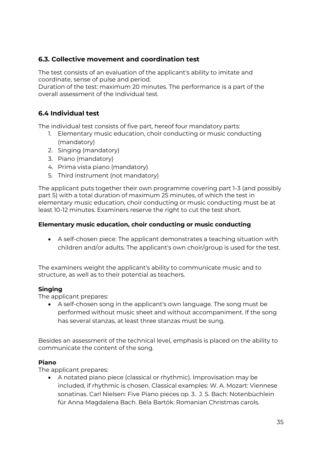## <span id="page-34-0"></span>**6.3. Collective movement and coordination test**

The test consists of an evaluation of the applicant's ability to imitate and coordinate, sense of pulse and period.

Duration of the test: maximum 20 minutes. The performance is a part of the overall assessment of the Individual test.

## <span id="page-34-1"></span>**6.4 Individual test**

The individual test consists of five part, hereof four mandatory parts:

- 1. Elementary music education, choir conducting or music conducting (mandatory)
- 2. Singing (mandatory)
- 3. Piano (mandatory)
- 4. Prima vista piano (mandatory)
- 5. Third instrument (not mandatory)

The applicant puts together their own programme covering part 1-3 (and possibly part 5) with a total duration of maximum 25 minutes, of which the test in elementary music education, choir conducting or music conducting must be at least 10-12 minutes. Examiners reserve the right to cut the test short.

## **Elementary music education, choir conducting or music conducting**

 A self-chosen piece: The applicant demonstrates a teaching situation with children and/or adults. The applicant's own choir/group is used for the test.

The examiners weight the applicant's ability to communicate music and to structure, as well as to their potential as teachers.

## **Singing**

The applicant prepares:

 A self-chosen song in the applicant's own language. The song must be performed without music sheet and without accompaniment. If the song has several stanzas, at least three stanzas must be sung.

Besides an assessment of the technical level, emphasis is placed on the ability to communicate the content of the song.

## **Piano**

The applicant prepares:

 A notated piano piece (classical or rhythmic). Improvisation may be included, if rhythmic is chosen. Classical examples: W. A. Mozart: Viennese sonatinas. Carl Nielsen: Five Piano pieces op. 3. J. S. Bach: Notenbüchlein für Anna Magdalena Bach. Béla Bartók: Romanian Christmas carols.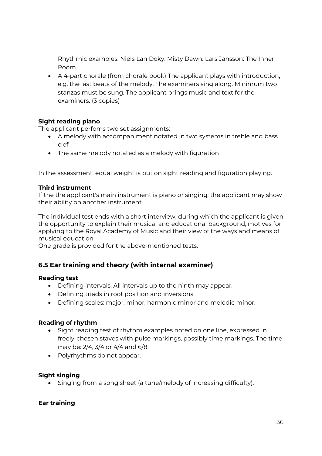Rhythmic examples: Niels Lan Doky: Misty Dawn. Lars Jansson: The Inner Room

 A 4-part chorale (from chorale book) The applicant plays with introduction, e.g. the last beats of the melody. The examiners sing along. Minimum two stanzas must be sung. The applicant brings music and text for the examiners. (3 copies)

#### **Sight reading piano**

The applicant perfoms two set assignments:

- A melody with accompaniment notated in two systems in treble and bass clef
- The same melody notated as a melody with figuration

In the assessment, equal weight is put on sight reading and figuration playing.

#### **Third instrument**

If the the applicant's main instrument is piano or singing, the applicant may show their ability on another instrument.

The individual test ends with a short interview, during which the applicant is given the opportunity to explain their musical and educational background, motives for applying to the Royal Academy of Music and their view of the ways and means of musical education.

One grade is provided for the above-mentioned tests.

## <span id="page-35-0"></span>**6.5 Ear training and theory (with internal examiner)**

#### **Reading test**

- Defining intervals. All intervals up to the ninth may appear.
- Defining triads in root position and inversions.
- Defining scales: major, minor, harmonic minor and melodic minor.

#### **Reading of rhythm**

- Sight reading test of rhythm examples noted on one line, expressed in freely-chosen staves with pulse markings, possibly time markings. The time may be: 2/4, 3/4 or 4/4 and 6/8.
- Polyrhythms do not appear.

#### **Sight singing**

Singing from a song sheet (a tune/melody of increasing difficulty).

#### **Ear training**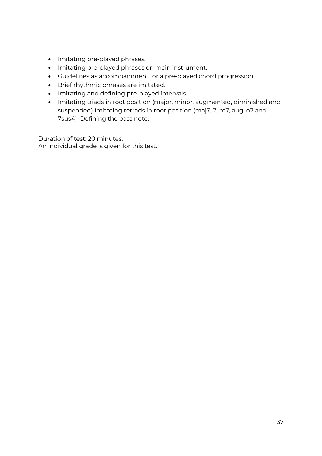- Imitating pre-played phrases.
- $\bullet$  Imitating pre-played phrases on main instrument.
- Guidelines as accompaniment for a pre-played chord progression.
- Brief rhythmic phrases are imitated.
- Imitating and defining pre-played intervals.
- Imitating triads in root position (major, minor, augmented, diminished and suspended) Imitating tetrads in root position (maj7, 7, m7, aug, o7 and 7sus4) Defining the bass note.

Duration of test: 20 minutes. An individual grade is given for this test.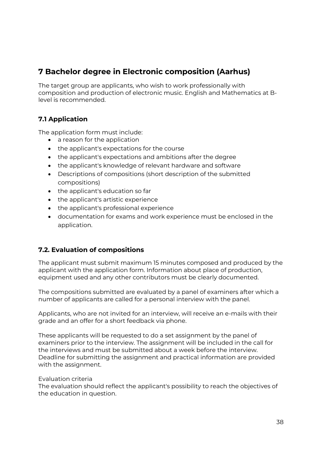## <span id="page-37-0"></span>**7 Bachelor degree in Electronic composition (Aarhus)**

The target group are applicants, who wish to work professionally with composition and production of electronic music. English and Mathematics at Blevel is recommended.

## <span id="page-37-1"></span>**7.1 Application**

The application form must include:

- a reason for the application
- the applicant's expectations for the course
- the applicant's expectations and ambitions after the degree
- the applicant's knowledge of relevant hardware and software
- Descriptions of compositions (short description of the submitted compositions)
- the applicant's education so far
- the applicant's artistic experience
- the applicant's professional experience
- documentation for exams and work experience must be enclosed in the application.

## <span id="page-37-2"></span>**7.2. Evaluation of compositions**

The applicant must submit maximum 15 minutes composed and produced by the applicant with the application form. Information about place of production, equipment used and any other contributors must be clearly documented.

The compositions submitted are evaluated by a panel of examiners after which a number of applicants are called for a personal interview with the panel.

Applicants, who are not invited for an interview, will receive an e-mails with their grade and an offer for a short feedback via phone.

These applicants will be requested to do a set assignment by the panel of examiners prior to the interview. The assignment will be included in the call for the interviews and must be submitted about a week before the interview. Deadline for submitting the assignment and practical information are provided with the assignment.

#### Evaluation criteria

The evaluation should reflect the applicant's possibility to reach the objectives of the education in question.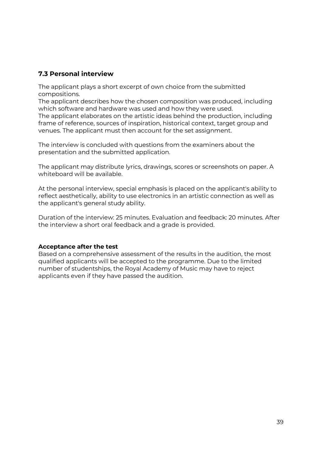## <span id="page-38-0"></span>**7.3 Personal interview**

The applicant plays a short excerpt of own choice from the submitted compositions.

The applicant describes how the chosen composition was produced, including which software and hardware was used and how they were used.

The applicant elaborates on the artistic ideas behind the production, including frame of reference, sources of inspiration, historical context, target group and venues. The applicant must then account for the set assignment.

The interview is concluded with questions from the examiners about the presentation and the submitted application.

The applicant may distribute lyrics, drawings, scores or screenshots on paper. A whiteboard will be available.

At the personal interview, special emphasis is placed on the applicant's ability to reflect aesthetically, ability to use electronics in an artistic connection as well as the applicant's general study ability.

Duration of the interview: 25 minutes. Evaluation and feedback: 20 minutes. After the interview a short oral feedback and a grade is provided.

#### **Acceptance after the test**

Based on a comprehensive assessment of the results in the audition, the most qualified applicants will be accepted to the programme. Due to the limited number of studentships, the Royal Academy of Music may have to reject applicants even if they have passed the audition.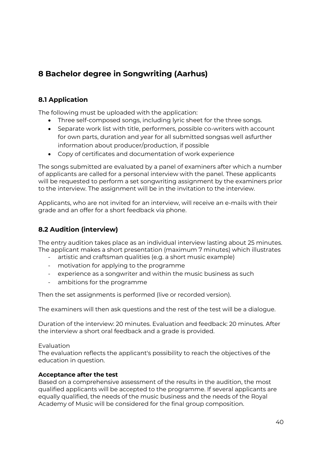## <span id="page-39-0"></span>**8 Bachelor degree in Songwriting (Aarhus)**

## <span id="page-39-1"></span>**8.1 Application**

The following must be uploaded with the application:

- Three self-composed songs, including lyric sheet for the three songs.
- Separate work list with title, performers, possible co-writers with account for own parts, duration and year for all submitted songsas well asfurther information about producer/production, if possible
- Copy of certificates and documentation of work experience

The songs submitted are evaluated by a panel of examiners after which a number of applicants are called for a personal interview with the panel. These applicants will be requested to perform a set songwriting assignment by the examiners prior to the interview. The assignment will be in the invitation to the interview.

Applicants, who are not invited for an interview, will receive an e-mails with their grade and an offer for a short feedback via phone.

## <span id="page-39-2"></span>**8.2 Audition (interview)**

The entry audition takes place as an individual interview lasting about 25 minutes. The applicant makes a short presentation (maximum 7 minutes) which illustrates

- artistic and craftsman qualities (e.g. a short music example)
- motivation for applying to the programme
- experience as a songwriter and within the music business as such
- ambitions for the programme

Then the set assignments is performed (live or recorded version).

The examiners will then ask questions and the rest of the test will be a dialogue.

Duration of the interview: 20 minutes. Evaluation and feedback: 20 minutes. After the interview a short oral feedback and a grade is provided.

## Evaluation

The evaluation reflects the applicant's possibility to reach the objectives of the education in question.

## **Acceptance after the test**

Based on a comprehensive assessment of the results in the audition, the most qualified applicants will be accepted to the programme. If several applicants are equally qualified, the needs of the music business and the needs of the Royal Academy of Music will be considered for the final group composition.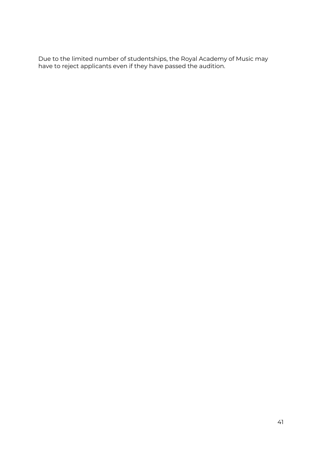Due to the limited number of studentships, the Royal Academy of Music may have to reject applicants even if they have passed the audition.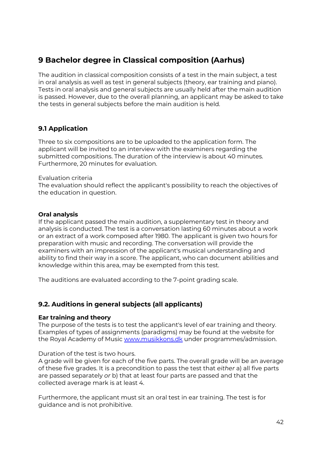## **9 Bachelor degree in Classical composition (Aarhus)**

The audition in classical composition consists of a test in the main subject, a test in oral analysis as well as test in general subjects (theory, ear training and piano). Tests in oral analysis and general subjects are usually held after the main audition is passed. However, due to the overall planning, an applicant may be asked to take the tests in general subjects before the main audition is held.

## <span id="page-41-0"></span>**9.1 Application**

Three to six compositions are to be uploaded to the application form. The applicant will be invited to an interview with the examiners regarding the submitted compositions. The duration of the interview is about 40 minutes. Furthermore, 20 minutes for evaluation.

#### Evaluation criteria

The evaluation should reflect the applicant's possibility to reach the objectives of the education in question.

#### **Oral analysis**

If the applicant passed the main audition, a supplementary test in theory and analysis is conducted. The test is a conversation lasting 60 minutes about a work or an extract of a work composed after 1980. The applicant is given two hours for preparation with music and recording. The conversation will provide the examiners with an impression of the applicant's musical understanding and ability to find their way in a score. The applicant, who can document abilities and knowledge within this area, may be exempted from this test.

The auditions are evaluated according to the 7-point grading scale.

## <span id="page-41-1"></span>**9.2. Auditions in general subjects (all applicants)**

#### **Ear training and theory**

The purpose of the tests is to test the applicant's level of ear training and theory. Examples of types of assignments (paradigms) may be found at the website for the Royal Academy of Music [www.musikkons.dk](http://www.musikkons.dk/) under programmes/admission.

Duration of the test is two hours.

A grade will be given for each of the five parts. The overall grade will be an average of these five grades. It is a precondition to pass the test that *either* a) all five parts are passed separately *or* b) that at least four parts are passed and that the collected average mark is at least 4.

Furthermore, the applicant must sit an oral test in ear training. The test is for guidance and is not prohibitive.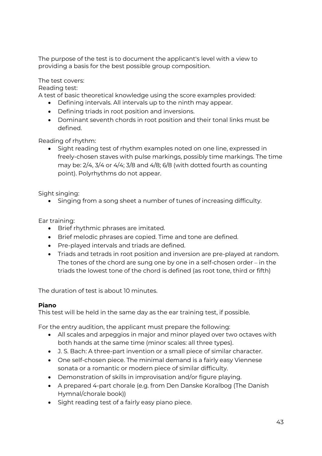The purpose of the test is to document the applicant's level with a view to providing a basis for the best possible group composition.

The test covers:

Reading test:

A test of basic theoretical knowledge using the score examples provided:

- Defining intervals. All intervals up to the ninth may appear.
- Defining triads in root position and inversions.
- Dominant seventh chords in root position and their tonal links must be defined.

Reading of rhythm:

• Sight reading test of rhythm examples noted on one line, expressed in freely-chosen staves with pulse markings, possibly time markings. The time may be:  $2/4$ ,  $3/4$  or  $4/4$ ;  $3/8$  and  $4/8$ ;  $6/8$  (with dotted fourth as counting point). Polyrhythms do not appear.

Sight singing:

• Singing from a song sheet a number of tunes of increasing difficulty.

Ear training:

- Brief rhythmic phrases are imitated.
- Brief melodic phrases are copied. Time and tone are defined.
- Pre-played intervals and triads are defined.
- Triads and tetrads in root position and inversion are pre-played at random. The tones of the chord are sung one by one in a self-chosen order – in the triads the lowest tone of the chord is defined (as root tone, third or fifth)

The duration of test is about 10 minutes.

## **Piano**

This test will be held in the same day as the ear training test, if possible.

For the entry audition, the applicant must prepare the following:

- All scales and arpeggios in major and minor played over two octaves with both hands at the same time (minor scales: all three types).
- J. S. Bach: A three-part invention or a small piece of similar character.
- One self-chosen piece. The minimal demand is a fairly easy Viennese sonata or a romantic or modern piece of similar difficulty.
- Demonstration of skills in improvisation and/or figure playing.
- A prepared 4-part chorale (e.g. from Den Danske Koralbog (The Danish Hymnal/chorale book))
- Sight reading test of a fairly easy piano piece.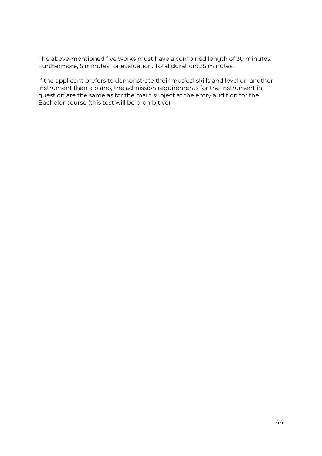The above-mentioned five works must have a combined length of 30 minutes. Furthermore, 5 minutes for evaluation. Total duration: 35 minutes.

If the applicant prefers to demonstrate their musical skills and level on another instrument than a piano, the admission requirements for the instrument in question are the same as for the main subject at the entry audition for the Bachelor course (this test will be prohibitive).